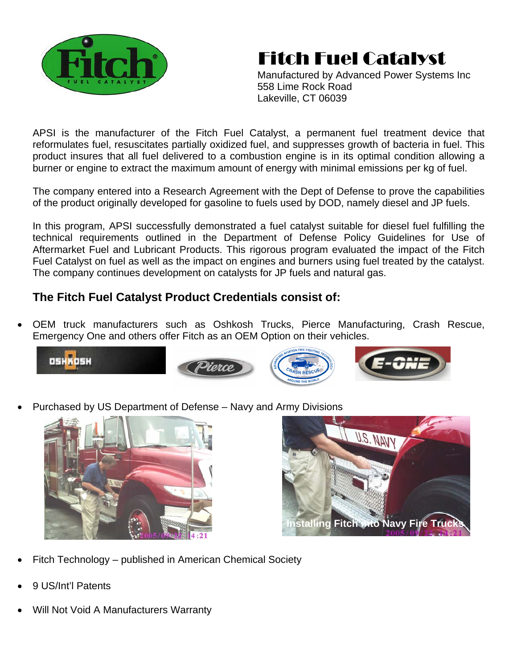

## Fitch Fuel Catalyst

Manufactured by Advanced Power Systems Inc 558 Lime Rock Road Lakeville, CT 06039

APSI is the manufacturer of the Fitch Fuel Catalyst, a permanent fuel treatment device that reformulates fuel, resuscitates partially oxidized fuel, and suppresses growth of bacteria in fuel. This product insures that all fuel delivered to a combustion engine is in its optimal condition allowing a burner or engine to extract the maximum amount of energy with minimal emissions per kg of fuel.

The company entered into a Research Agreement with the Dept of Defense to prove the capabilities of the product originally developed for gasoline to fuels used by DOD, namely diesel and JP fuels.

In this program, APSI successfully demonstrated a fuel catalyst suitable for diesel fuel fulfilling the technical requirements outlined in the Department of Defense Policy Guidelines for Use of Aftermarket Fuel and Lubricant Products. This rigorous program evaluated the impact of the Fitch Fuel Catalyst on fuel as well as the impact on engines and burners using fuel treated by the catalyst. The company continues development on catalysts for JP fuels and natural gas.

## **The Fitch Fuel Catalyst Product Credentials consist of:**

• OEM truck manufacturers such as Oshkosh Trucks, Pierce Manufacturing, Crash Rescue, Emergency One and others offer Fitch as an OEM Option on their vehicles.







• Purchased by US Department of Defense – Navy and Army Divisions





- Fitch Technology published in American Chemical Society
- 9 US/Int'l Patents
- Will Not Void A Manufacturers Warranty